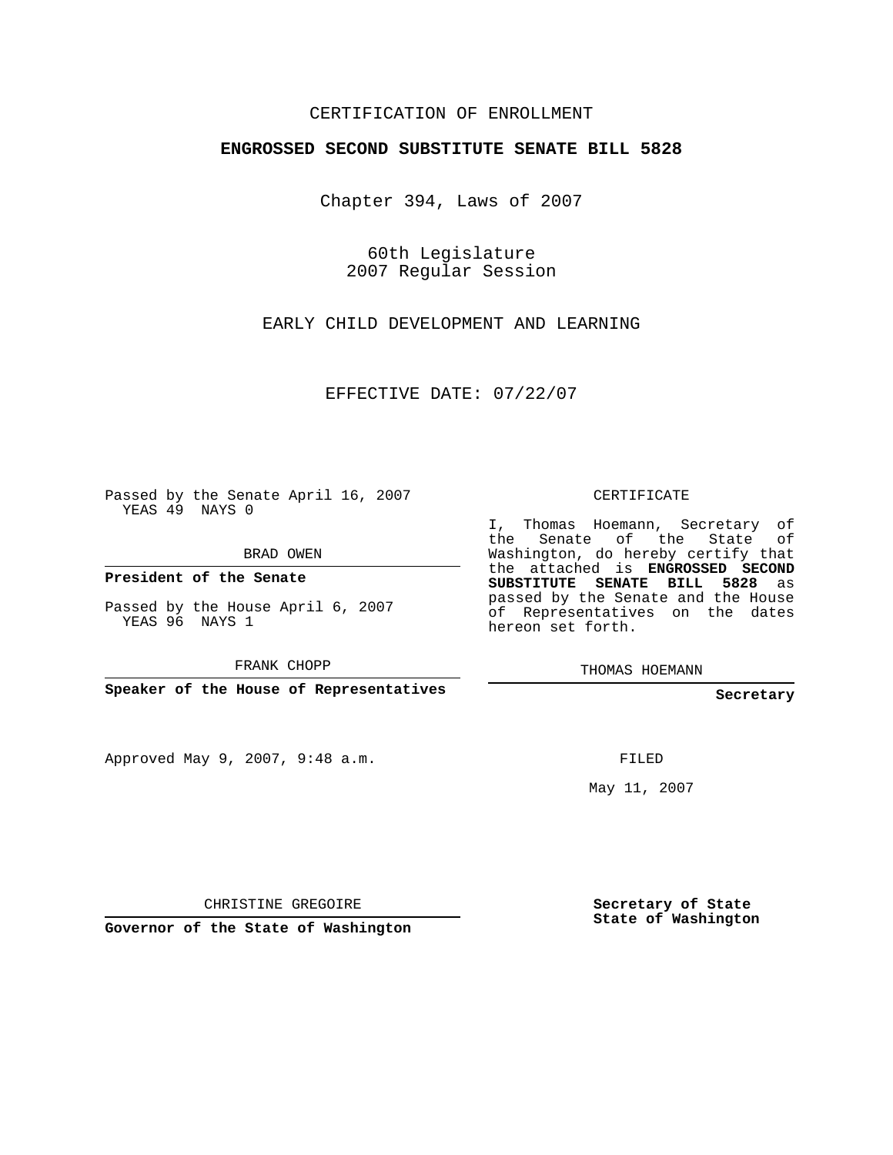## CERTIFICATION OF ENROLLMENT

## **ENGROSSED SECOND SUBSTITUTE SENATE BILL 5828**

Chapter 394, Laws of 2007

60th Legislature 2007 Regular Session

EARLY CHILD DEVELOPMENT AND LEARNING

EFFECTIVE DATE: 07/22/07

Passed by the Senate April 16, 2007 YEAS 49 NAYS 0

BRAD OWEN

**President of the Senate**

Passed by the House April 6, 2007 YEAS 96 NAYS 1

FRANK CHOPP

**Speaker of the House of Representatives**

Approved May 9, 2007, 9:48 a.m.

CERTIFICATE

I, Thomas Hoemann, Secretary of the Senate of the State of Washington, do hereby certify that the attached is **ENGROSSED SECOND SUBSTITUTE SENATE BILL 5828** as passed by the Senate and the House of Representatives on the dates hereon set forth.

THOMAS HOEMANN

**Secretary**

FILED

May 11, 2007

CHRISTINE GREGOIRE

**Governor of the State of Washington**

**Secretary of State State of Washington**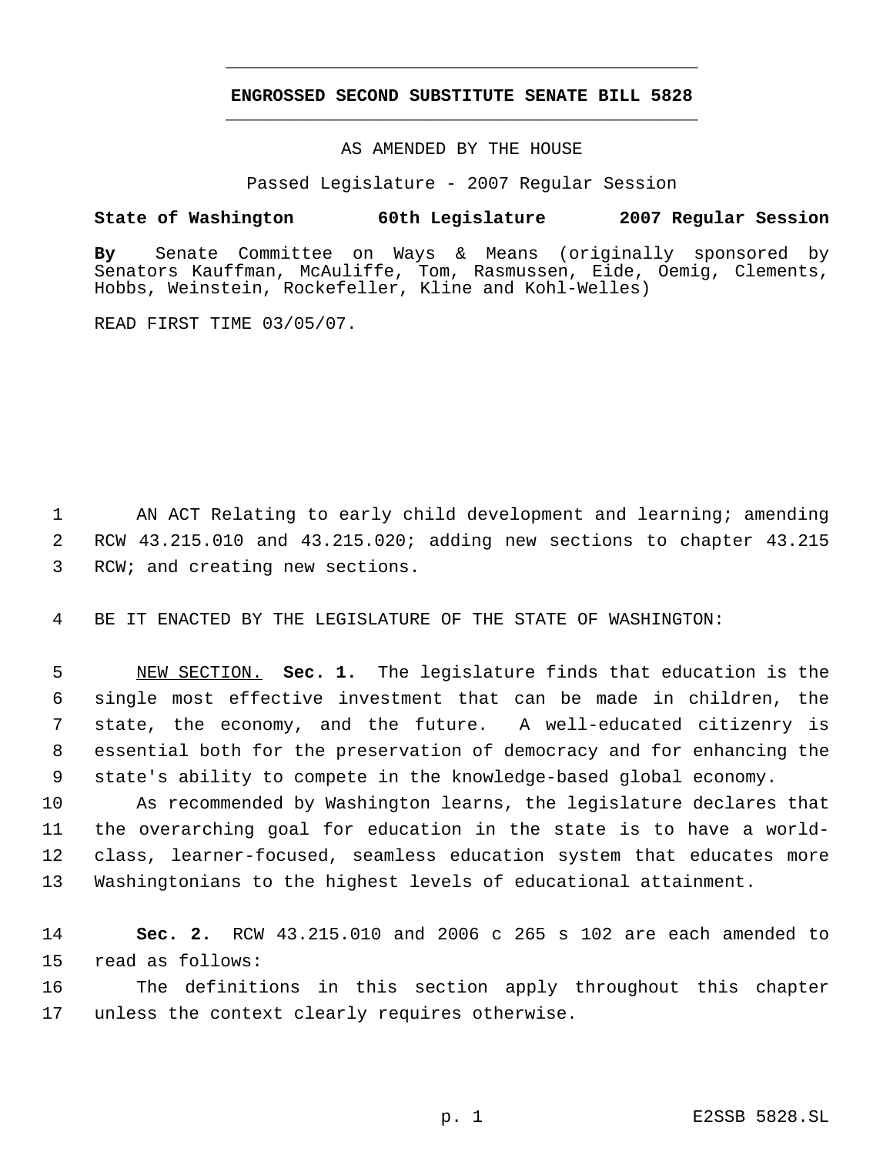## **ENGROSSED SECOND SUBSTITUTE SENATE BILL 5828** \_\_\_\_\_\_\_\_\_\_\_\_\_\_\_\_\_\_\_\_\_\_\_\_\_\_\_\_\_\_\_\_\_\_\_\_\_\_\_\_\_\_\_\_\_

\_\_\_\_\_\_\_\_\_\_\_\_\_\_\_\_\_\_\_\_\_\_\_\_\_\_\_\_\_\_\_\_\_\_\_\_\_\_\_\_\_\_\_\_\_

AS AMENDED BY THE HOUSE

Passed Legislature - 2007 Regular Session

## **State of Washington 60th Legislature 2007 Regular Session**

**By** Senate Committee on Ways & Means (originally sponsored by Senators Kauffman, McAuliffe, Tom, Rasmussen, Eide, Oemig, Clements, Hobbs, Weinstein, Rockefeller, Kline and Kohl-Welles)

READ FIRST TIME 03/05/07.

 AN ACT Relating to early child development and learning; amending RCW 43.215.010 and 43.215.020; adding new sections to chapter 43.215 RCW; and creating new sections.

BE IT ENACTED BY THE LEGISLATURE OF THE STATE OF WASHINGTON:

 NEW SECTION. **Sec. 1.** The legislature finds that education is the single most effective investment that can be made in children, the state, the economy, and the future. A well-educated citizenry is essential both for the preservation of democracy and for enhancing the state's ability to compete in the knowledge-based global economy.

 As recommended by Washington learns, the legislature declares that the overarching goal for education in the state is to have a world- class, learner-focused, seamless education system that educates more Washingtonians to the highest levels of educational attainment.

 **Sec. 2.** RCW 43.215.010 and 2006 c 265 s 102 are each amended to read as follows:

 The definitions in this section apply throughout this chapter unless the context clearly requires otherwise.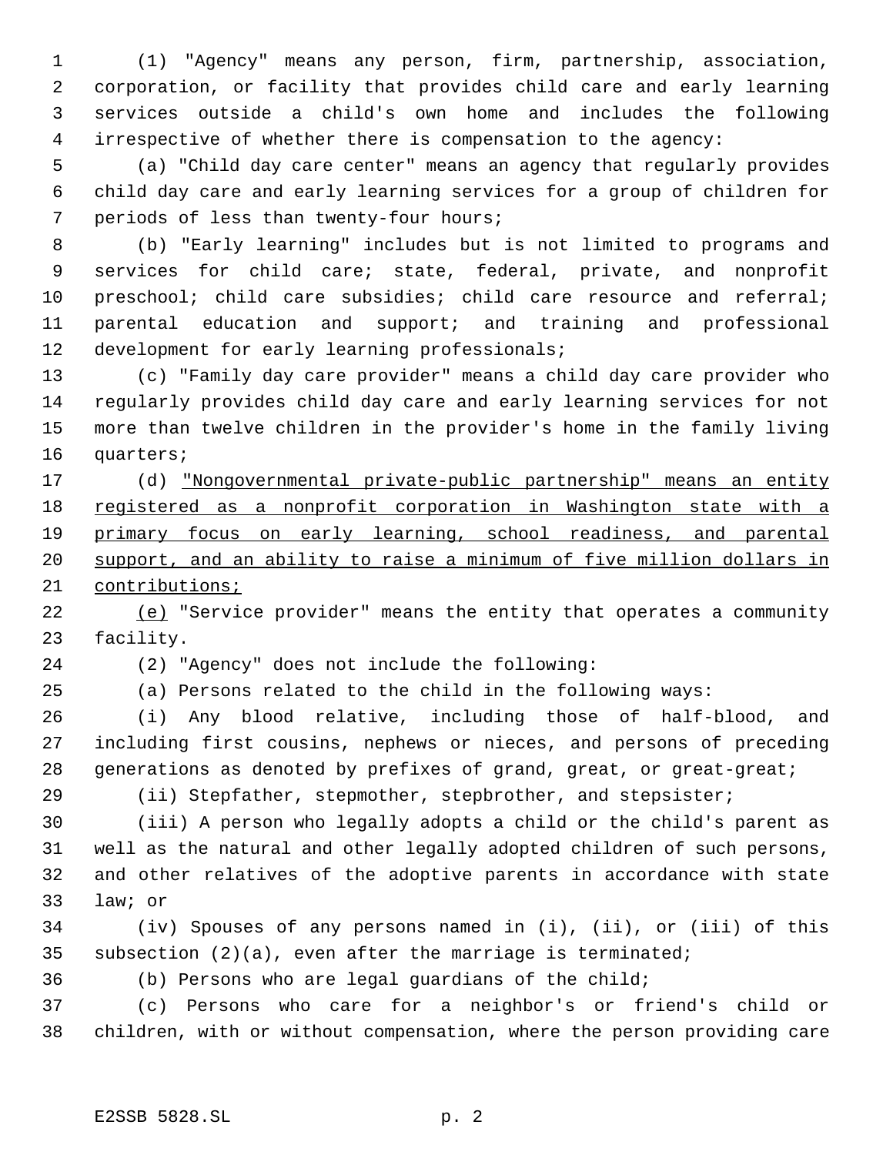(1) "Agency" means any person, firm, partnership, association, corporation, or facility that provides child care and early learning services outside a child's own home and includes the following irrespective of whether there is compensation to the agency:

 (a) "Child day care center" means an agency that regularly provides child day care and early learning services for a group of children for periods of less than twenty-four hours;

 (b) "Early learning" includes but is not limited to programs and services for child care; state, federal, private, and nonprofit preschool; child care subsidies; child care resource and referral; parental education and support; and training and professional development for early learning professionals;

 (c) "Family day care provider" means a child day care provider who regularly provides child day care and early learning services for not more than twelve children in the provider's home in the family living quarters;

 (d) "Nongovernmental private-public partnership" means an entity 18 registered as a nonprofit corporation in Washington state with a primary focus on early learning, school readiness, and parental 20 support, and an ability to raise a minimum of five million dollars in contributions;

 (e) "Service provider" means the entity that operates a community facility.

(2) "Agency" does not include the following:

(a) Persons related to the child in the following ways:

 (i) Any blood relative, including those of half-blood, and including first cousins, nephews or nieces, and persons of preceding generations as denoted by prefixes of grand, great, or great-great;

(ii) Stepfather, stepmother, stepbrother, and stepsister;

 (iii) A person who legally adopts a child or the child's parent as well as the natural and other legally adopted children of such persons, and other relatives of the adoptive parents in accordance with state law; or

 (iv) Spouses of any persons named in (i), (ii), or (iii) of this 35 subsection  $(2)(a)$ , even after the marriage is terminated;

(b) Persons who are legal guardians of the child;

 (c) Persons who care for a neighbor's or friend's child or children, with or without compensation, where the person providing care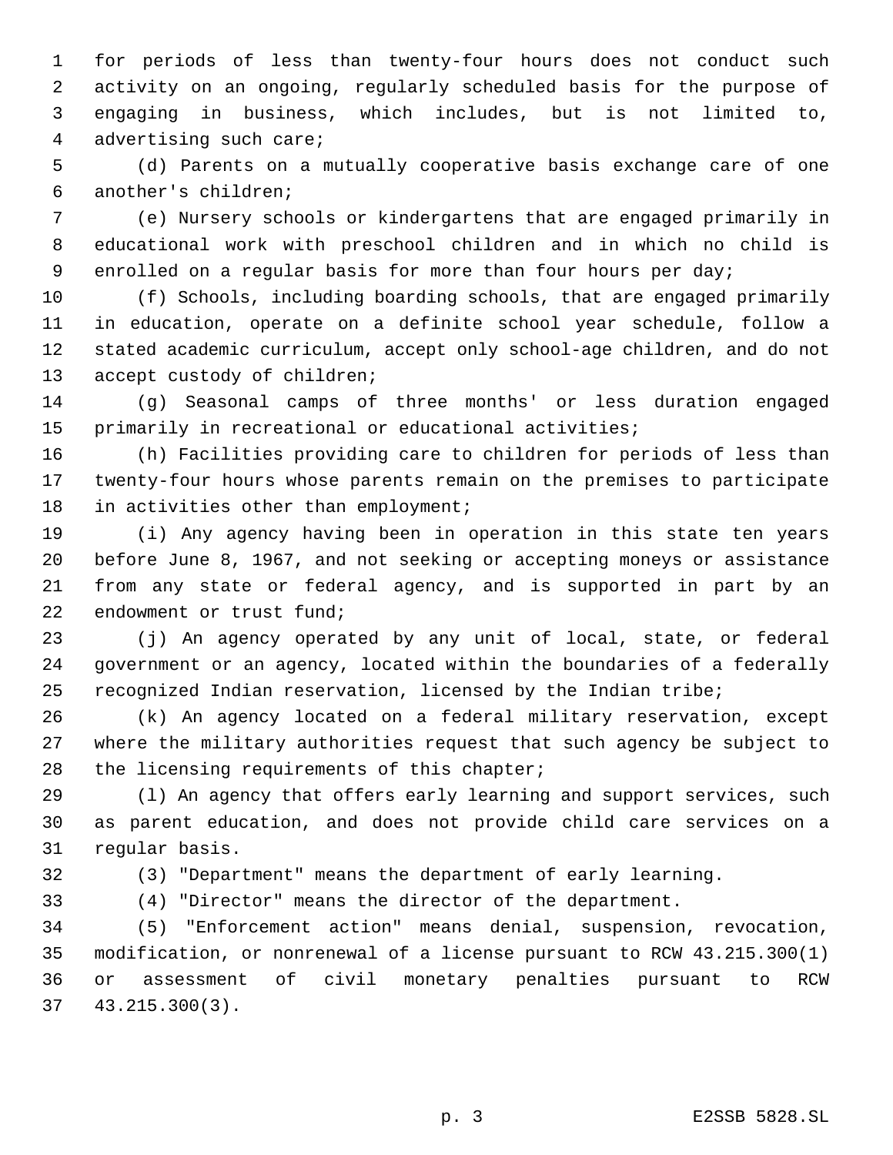for periods of less than twenty-four hours does not conduct such activity on an ongoing, regularly scheduled basis for the purpose of engaging in business, which includes, but is not limited to, advertising such care;

 (d) Parents on a mutually cooperative basis exchange care of one another's children;

 (e) Nursery schools or kindergartens that are engaged primarily in educational work with preschool children and in which no child is enrolled on a regular basis for more than four hours per day;

 (f) Schools, including boarding schools, that are engaged primarily in education, operate on a definite school year schedule, follow a stated academic curriculum, accept only school-age children, and do not 13 accept custody of children;

 (g) Seasonal camps of three months' or less duration engaged primarily in recreational or educational activities;

 (h) Facilities providing care to children for periods of less than twenty-four hours whose parents remain on the premises to participate 18 in activities other than employment;

 (i) Any agency having been in operation in this state ten years before June 8, 1967, and not seeking or accepting moneys or assistance from any state or federal agency, and is supported in part by an endowment or trust fund;

 (j) An agency operated by any unit of local, state, or federal government or an agency, located within the boundaries of a federally recognized Indian reservation, licensed by the Indian tribe;

 (k) An agency located on a federal military reservation, except where the military authorities request that such agency be subject to the licensing requirements of this chapter;

 (l) An agency that offers early learning and support services, such as parent education, and does not provide child care services on a regular basis.

(3) "Department" means the department of early learning.

(4) "Director" means the director of the department.

 (5) "Enforcement action" means denial, suspension, revocation, modification, or nonrenewal of a license pursuant to RCW 43.215.300(1) or assessment of civil monetary penalties pursuant to RCW 43.215.300(3).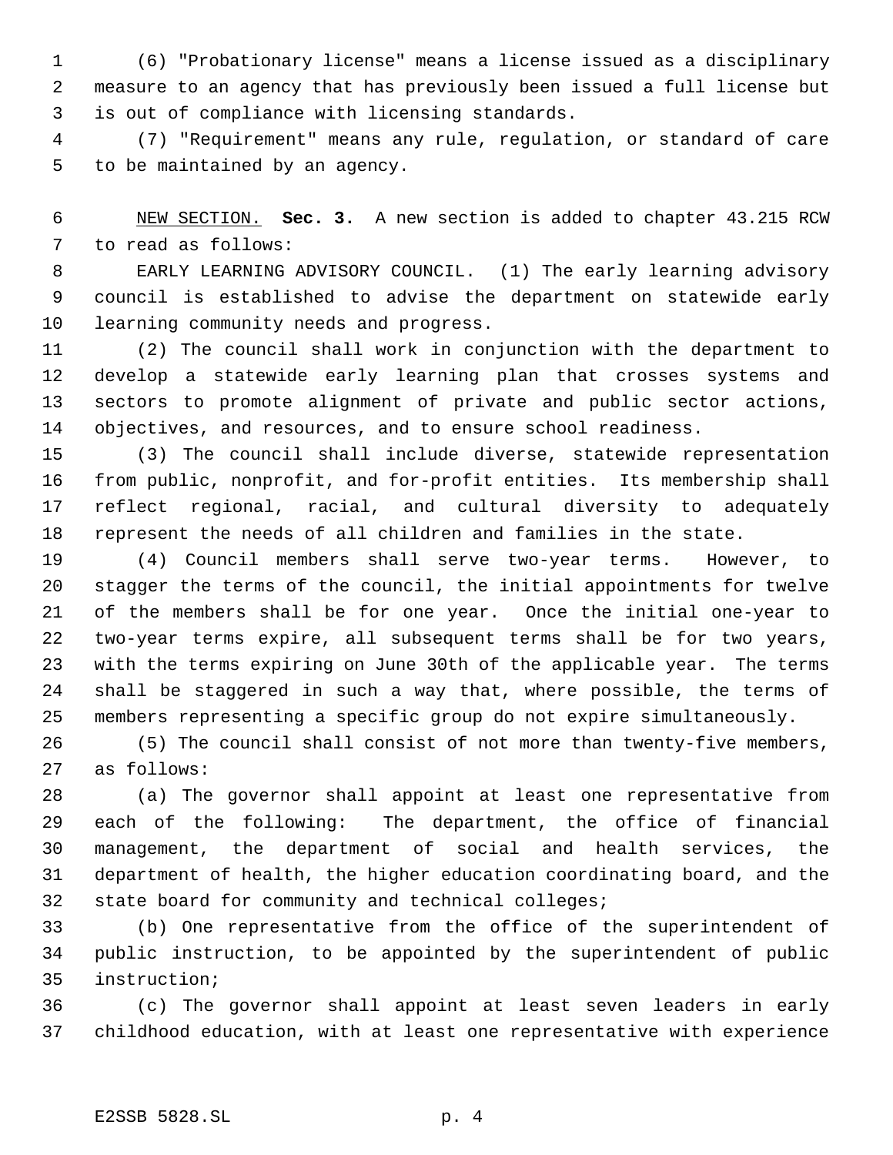(6) "Probationary license" means a license issued as a disciplinary measure to an agency that has previously been issued a full license but is out of compliance with licensing standards.

 (7) "Requirement" means any rule, regulation, or standard of care to be maintained by an agency.

 NEW SECTION. **Sec. 3.** A new section is added to chapter 43.215 RCW to read as follows:

 EARLY LEARNING ADVISORY COUNCIL. (1) The early learning advisory council is established to advise the department on statewide early learning community needs and progress.

 (2) The council shall work in conjunction with the department to develop a statewide early learning plan that crosses systems and sectors to promote alignment of private and public sector actions, objectives, and resources, and to ensure school readiness.

 (3) The council shall include diverse, statewide representation from public, nonprofit, and for-profit entities. Its membership shall reflect regional, racial, and cultural diversity to adequately represent the needs of all children and families in the state.

 (4) Council members shall serve two-year terms. However, to stagger the terms of the council, the initial appointments for twelve of the members shall be for one year. Once the initial one-year to two-year terms expire, all subsequent terms shall be for two years, with the terms expiring on June 30th of the applicable year. The terms shall be staggered in such a way that, where possible, the terms of members representing a specific group do not expire simultaneously.

 (5) The council shall consist of not more than twenty-five members, as follows:

 (a) The governor shall appoint at least one representative from each of the following: The department, the office of financial management, the department of social and health services, the department of health, the higher education coordinating board, and the state board for community and technical colleges;

 (b) One representative from the office of the superintendent of public instruction, to be appointed by the superintendent of public instruction;

 (c) The governor shall appoint at least seven leaders in early childhood education, with at least one representative with experience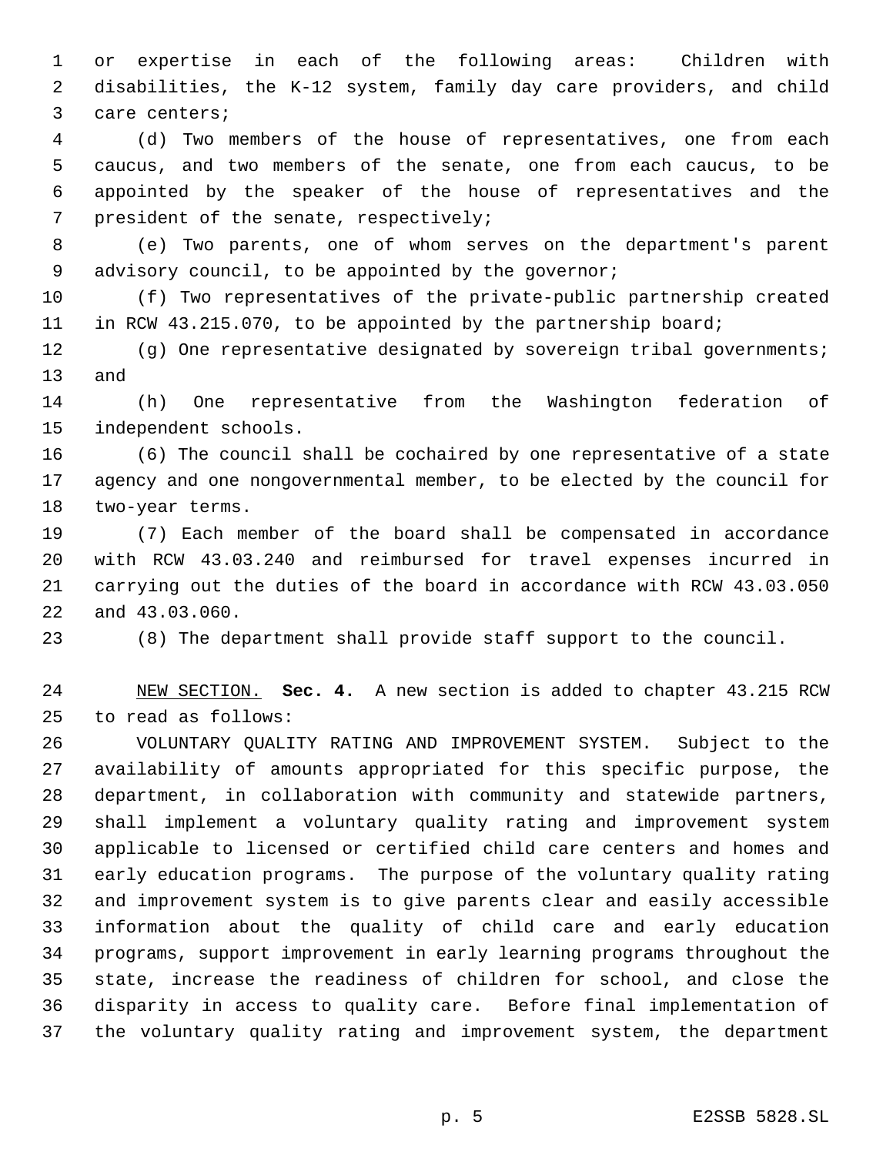or expertise in each of the following areas: Children with disabilities, the K-12 system, family day care providers, and child care centers;

 (d) Two members of the house of representatives, one from each caucus, and two members of the senate, one from each caucus, to be appointed by the speaker of the house of representatives and the president of the senate, respectively;

 (e) Two parents, one of whom serves on the department's parent advisory council, to be appointed by the governor;

 (f) Two representatives of the private-public partnership created in RCW 43.215.070, to be appointed by the partnership board;

 (g) One representative designated by sovereign tribal governments; and

 (h) One representative from the Washington federation of independent schools.

 (6) The council shall be cochaired by one representative of a state agency and one nongovernmental member, to be elected by the council for two-year terms.

 (7) Each member of the board shall be compensated in accordance with RCW 43.03.240 and reimbursed for travel expenses incurred in carrying out the duties of the board in accordance with RCW 43.03.050 and 43.03.060.

(8) The department shall provide staff support to the council.

 NEW SECTION. **Sec. 4.** A new section is added to chapter 43.215 RCW to read as follows:

 VOLUNTARY QUALITY RATING AND IMPROVEMENT SYSTEM. Subject to the availability of amounts appropriated for this specific purpose, the department, in collaboration with community and statewide partners, shall implement a voluntary quality rating and improvement system applicable to licensed or certified child care centers and homes and early education programs. The purpose of the voluntary quality rating and improvement system is to give parents clear and easily accessible information about the quality of child care and early education programs, support improvement in early learning programs throughout the state, increase the readiness of children for school, and close the disparity in access to quality care. Before final implementation of the voluntary quality rating and improvement system, the department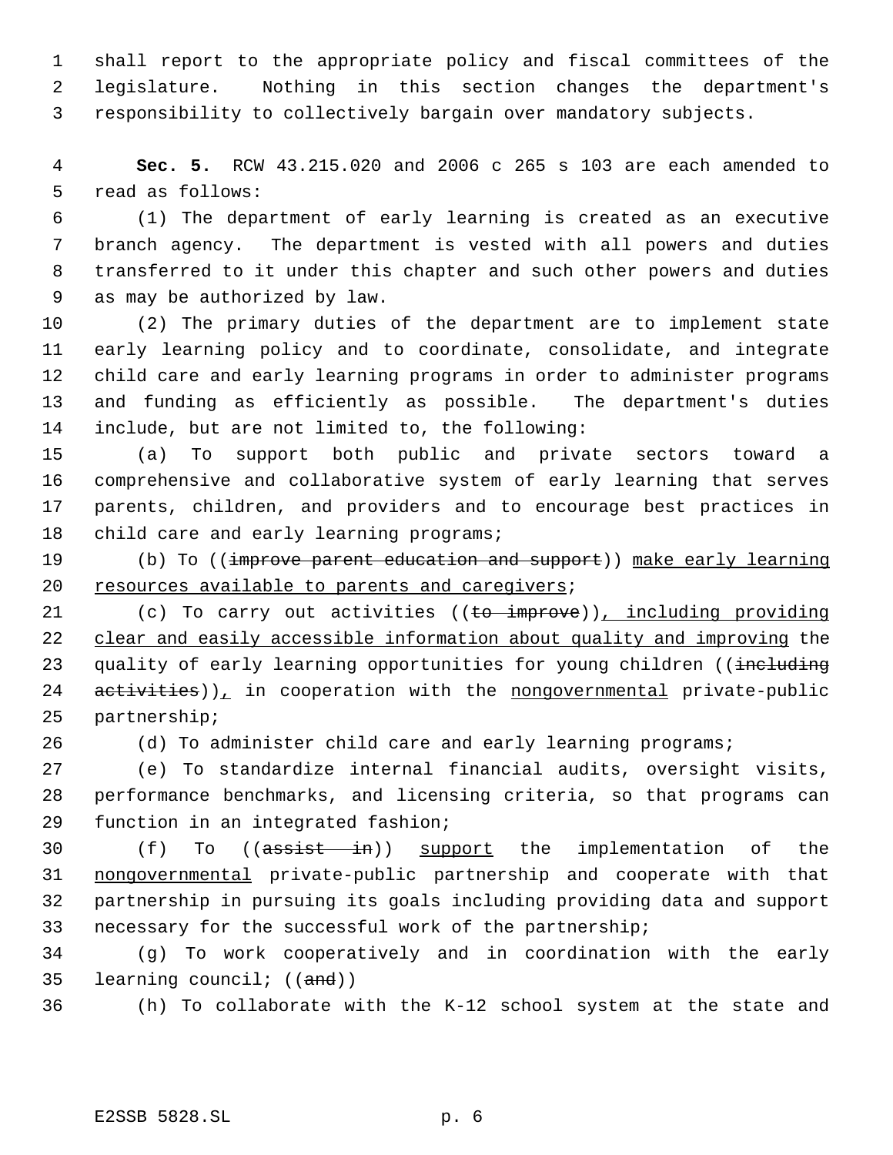shall report to the appropriate policy and fiscal committees of the legislature. Nothing in this section changes the department's responsibility to collectively bargain over mandatory subjects.

 **Sec. 5.** RCW 43.215.020 and 2006 c 265 s 103 are each amended to read as follows:

 (1) The department of early learning is created as an executive branch agency. The department is vested with all powers and duties transferred to it under this chapter and such other powers and duties as may be authorized by law.

 (2) The primary duties of the department are to implement state early learning policy and to coordinate, consolidate, and integrate child care and early learning programs in order to administer programs and funding as efficiently as possible. The department's duties include, but are not limited to, the following:

 (a) To support both public and private sectors toward a comprehensive and collaborative system of early learning that serves parents, children, and providers and to encourage best practices in 18 child care and early learning programs;

19 (b) To ((improve parent education and support)) make early learning resources available to parents and caregivers;

21 (c) To carry out activities ((to improve)), including providing clear and easily accessible information about quality and improving the 23 quality of early learning opportunities for young children ((including activities)), in cooperation with the nongovernmental private-public partnership;

(d) To administer child care and early learning programs;

 (e) To standardize internal financial audits, oversight visits, performance benchmarks, and licensing criteria, so that programs can function in an integrated fashion;

30 (f) To ((assist in)) support the implementation of the nongovernmental private-public partnership and cooperate with that partnership in pursuing its goals including providing data and support necessary for the successful work of the partnership;

 (g) To work cooperatively and in coordination with the early learning council; ((and))

(h) To collaborate with the K-12 school system at the state and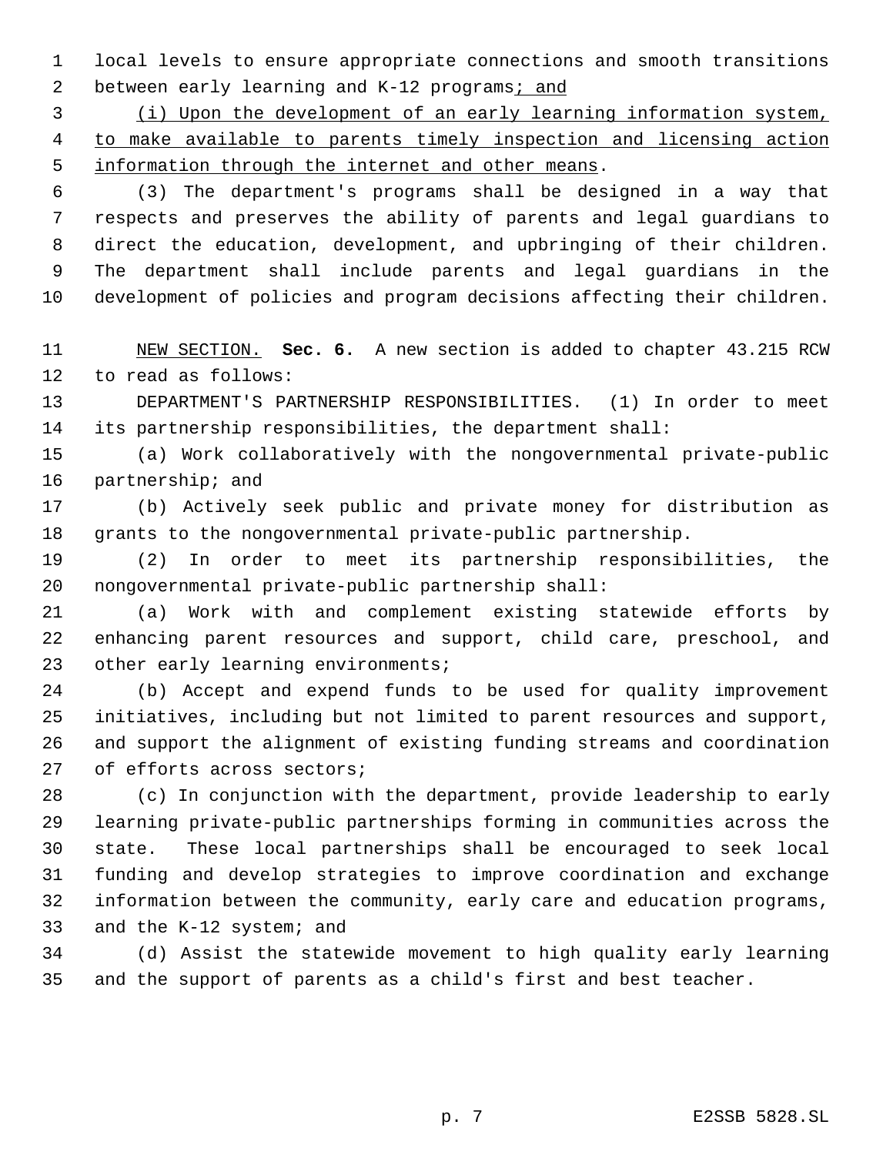local levels to ensure appropriate connections and smooth transitions 2 between early learning and K-12 programs; and

 (i) Upon the development of an early learning information system, to make available to parents timely inspection and licensing action information through the internet and other means.

 (3) The department's programs shall be designed in a way that respects and preserves the ability of parents and legal guardians to direct the education, development, and upbringing of their children. The department shall include parents and legal guardians in the development of policies and program decisions affecting their children.

 NEW SECTION. **Sec. 6.** A new section is added to chapter 43.215 RCW to read as follows:

 DEPARTMENT'S PARTNERSHIP RESPONSIBILITIES. (1) In order to meet its partnership responsibilities, the department shall:

 (a) Work collaboratively with the nongovernmental private-public partnership; and

 (b) Actively seek public and private money for distribution as grants to the nongovernmental private-public partnership.

 (2) In order to meet its partnership responsibilities, the nongovernmental private-public partnership shall:

 (a) Work with and complement existing statewide efforts by enhancing parent resources and support, child care, preschool, and 23 other early learning environments;

 (b) Accept and expend funds to be used for quality improvement initiatives, including but not limited to parent resources and support, and support the alignment of existing funding streams and coordination of efforts across sectors;

 (c) In conjunction with the department, provide leadership to early learning private-public partnerships forming in communities across the state. These local partnerships shall be encouraged to seek local funding and develop strategies to improve coordination and exchange information between the community, early care and education programs, and the K-12 system; and

 (d) Assist the statewide movement to high quality early learning and the support of parents as a child's first and best teacher.